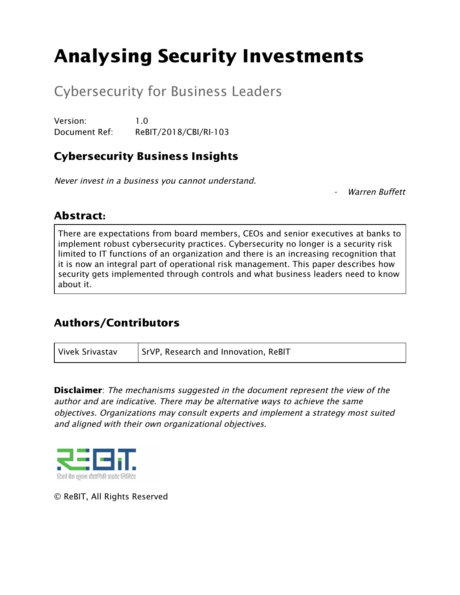# Analysing Security Investments

## Cybersecurity for Business Leaders

Version: 1.0 Document Ref: ReBIT/2018/CBI/RI-103

## Cybersecurity Business Insights

Never invest in <sup>a</sup> business you cannot understand.

Warren Buffett

### Abstract:

There are expectations from board members, CEOs and senior executives at banks to implement robust cybersecurity practices. Cybersecurity no longer is a security risk limited to IT functions of an organization and there is an increasing recognition that it is now an integral part of operational risk management. This paper describes how security gets implemented through controls and what business leaders need to know about it.

## Authors/Contributors

Vivek Srivastav  $\vert$  SrVP, Research and Innovation, ReBIT

**Disclaimer**: The mechanisms suggested in the document represent the view of the author and are indicative. There may be alternative ways to achieve the same objectives. Organizations may consult experts and implement <sup>a</sup> strategy most suited and aligned with their own organizational objectives.



© ReBIT, All Rights Reserved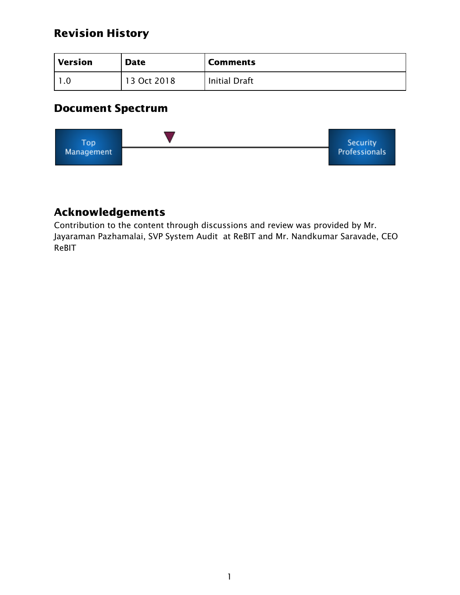## Revision History

| Version | <b>Date</b> | <b>Comments</b>      |
|---------|-------------|----------------------|
|         | 13 Oct 2018 | <b>Initial Draft</b> |

## Document Spectrum



## Acknowledgements

Contribution to the content through discussions and review was provided by Mr. Jayaraman Pazhamalai, SVP System Audit at ReBIT and Mr. Nandkumar Saravade, CEO ReBIT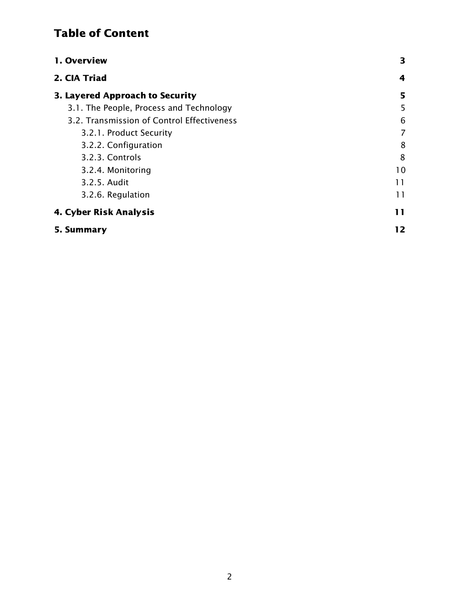## Table of Content

| 1. Overview                                | 3  |
|--------------------------------------------|----|
| 2. CIA Triad                               | 4  |
| 3. Layered Approach to Security            | 5  |
| 3.1. The People, Process and Technology    | 5  |
| 3.2. Transmission of Control Effectiveness | 6  |
| 3.2.1. Product Security                    | 7  |
| 3.2.2. Configuration                       | 8  |
| 3.2.3. Controls                            | 8  |
| 3.2.4. Monitoring                          | 10 |
| 3.2.5. Audit                               | 11 |
| 3.2.6. Regulation                          | 11 |
| 4. Cyber Risk Analysis                     | 11 |
| 5. Summarv                                 | 12 |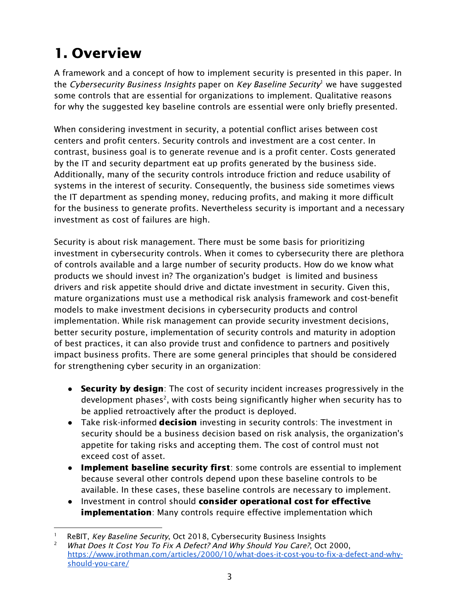# <span id="page-3-0"></span>1. Overview

A framework and a concept of how to implement security is presented in this paper. In the Cybersecurity Business Insights paper on Key Baseline Security<sup>1</sup> we have suggested some controls that are essential for organizations to implement. Qualitative reasons for why the suggested key baseline controls are essential were only briefly presented.

When considering investment in security, a potential conflict arises between cost centers and profit centers. Security controls and investment are a cost center. In contrast, business goal is to generate revenue and is a profit center. Costs generated by the IT and security department eat up profits generated by the business side. Additionally, many of the security controls introduce friction and reduce usability of systems in the interest of security. Consequently, the business side sometimes views the IT department as spending money, reducing profits, and making it more difficult for the business to generate profits. Nevertheless security is important and a necessary investment as cost of failures are high.

Security is about risk management. There must be some basis for prioritizing investment in cybersecurity controls. When it comes to cybersecurity there are plethora of controls available and a large number of security products. How do we know what products we should invest in? The organization's budget is limited and business drivers and risk appetite should drive and dictate investment in security. Given this, mature organizations must use a methodical risk analysis framework and cost-benefit models to make investment decisions in cybersecurity products and control implementation. While risk management can provide security investment decisions, better security posture, implementation of security controls and maturity in adoption of best practices, it can also provide trust and confidence to partners and positively impact business profits. There are some general principles that should be considered for strengthening cyber security in an organization:

- Security by design: The cost of security incident increases progressively in the development phases<sup>2</sup>, with costs being significantly higher when security has to be applied retroactively after the product is deployed.
- Take risk-informed **decision** investing in security controls: The investment in security should be a business decision based on risk analysis, the organization's appetite for taking risks and accepting them. The cost of control must not exceed cost of asset.
- Implement baseline security first: some controls are essential to implement because several other controls depend upon these baseline controls to be available. In these cases, these baseline controls are necessary to implement.
- Investment in control should consider operational cost for effective **implementation**: Many controls require effective implementation which

ReBIT, Key Baseline Security, Oct 2018, Cybersecurity Business Insights

What Does It Cost You To Fix A Defect? And Why Should You Care?, Oct 2000, [https://www.jrothman.com/articles/2000/10/what-does-it-cost-you-to-fix-a-defect-and-why](https://www.jrothman.com/articles/2000/10/what-does-it-cost-you-to-fix-a-defect-and-why-should-you-care/)[should-you-care/](https://www.jrothman.com/articles/2000/10/what-does-it-cost-you-to-fix-a-defect-and-why-should-you-care/)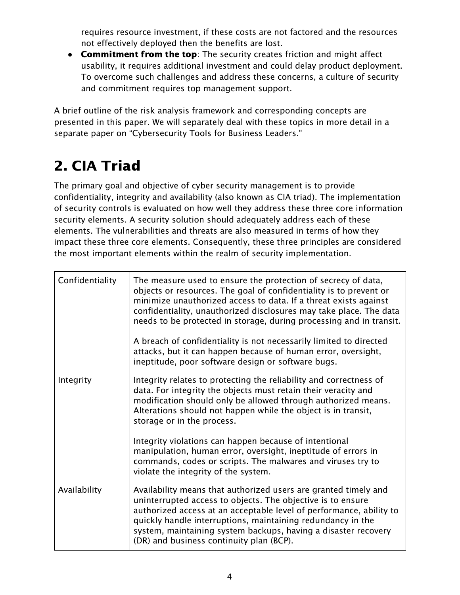requires resource investment, if these costs are not factored and the resources not effectively deployed then the benefits are lost.

• Commitment from the top: The security creates friction and might affect usability, it requires additional investment and could delay product deployment. To overcome such challenges and address these concerns, a culture of security and commitment requires top management support.

A brief outline of the risk analysis framework and corresponding concepts are presented in this paper. We will separately deal with these topics in more detail in a separate paper on "Cybersecurity Tools for Business Leaders."

# <span id="page-4-0"></span>2. CIA Triad

The primary goal and objective of cyber security management is to provide confidentiality, integrity and availability (also known as CIA triad). The implementation of security controls is evaluated on how well they address these three core information security elements. A security solution should adequately address each of these elements. The vulnerabilities and threats are also measured in terms of how they impact these three core elements. Consequently, these three principles are considered the most important elements within the realm of security implementation.

| Confidentiality | The measure used to ensure the protection of secrecy of data,<br>objects or resources. The goal of confidentiality is to prevent or<br>minimize unauthorized access to data. If a threat exists against<br>confidentiality, unauthorized disclosures may take place. The data<br>needs to be protected in storage, during processing and in transit.<br>A breach of confidentiality is not necessarily limited to directed<br>attacks, but it can happen because of human error, oversight,<br>ineptitude, poor software design or software bugs. |
|-----------------|---------------------------------------------------------------------------------------------------------------------------------------------------------------------------------------------------------------------------------------------------------------------------------------------------------------------------------------------------------------------------------------------------------------------------------------------------------------------------------------------------------------------------------------------------|
| Integrity       | Integrity relates to protecting the reliability and correctness of<br>data. For integrity the objects must retain their veracity and<br>modification should only be allowed through authorized means.<br>Alterations should not happen while the object is in transit,<br>storage or in the process.<br>Integrity violations can happen because of intentional<br>manipulation, human error, oversight, ineptitude of errors in<br>commands, codes or scripts. The malwares and viruses try to<br>violate the integrity of the system.            |
| Availability    | Availability means that authorized users are granted timely and<br>uninterrupted access to objects. The objective is to ensure<br>authorized access at an acceptable level of performance, ability to<br>quickly handle interruptions, maintaining redundancy in the<br>system, maintaining system backups, having a disaster recovery<br>(DR) and business continuity plan (BCP).                                                                                                                                                                |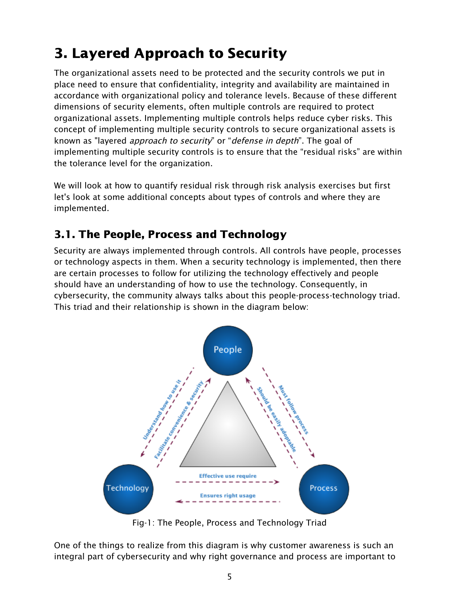# <span id="page-5-0"></span>3. Layered Approach to Security

The organizational assets need to be protected and the security controls we put in place need to ensure that confidentiality, integrity and availability are maintained in accordance with organizational policy and tolerance levels. Because of these different dimensions of security elements, often multiple controls are required to protect organizational assets. Implementing multiple controls helps reduce cyber risks. This concept of implementing multiple security controls to secure organizational assets is known as "layered *approach to security*" or "*defense in depth*". The goal of implementing multiple security controls is to ensure that the "residual risks" are within the tolerance level for the organization.

We will look at how to quantify residual risk through risk analysis exercises but first let's look at some additional concepts about types of controls and where they are implemented.

## <span id="page-5-1"></span>3.1. The People, Process and Technology

Security are always implemented through controls. All controls have people, processes or technology aspects in them. When a security technology is implemented, then there are certain processes to follow for utilizing the technology effectively and people should have an understanding of how to use the technology. Consequently, in cybersecurity, the community always talks about this people-process-technology triad. This triad and their relationship is shown in the diagram below:



Fig-1: The People, Process and Technology Triad

One of the things to realize from this diagram is why customer awareness is such an integral part of cybersecurity and why right governance and process are important to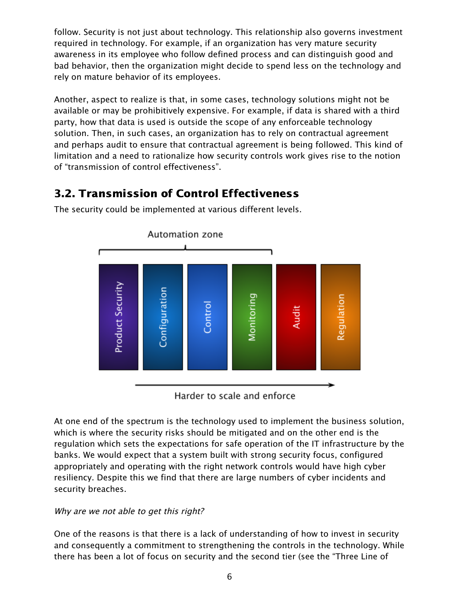follow. Security is not just about technology. This relationship also governs investment required in technology. For example, if an organization has very mature security awareness in its employee who follow defined process and can distinguish good and bad behavior, then the organization might decide to spend less on the technology and rely on mature behavior of its employees.

Another, aspect to realize is that, in some cases, technology solutions might not be available or may be prohibitively expensive. For example, if data is shared with a third party, how that data is used is outside the scope of any enforceable technology solution. Then, in such cases, an organization has to rely on contractual agreement and perhaps audit to ensure that contractual agreement is being followed. This kind of limitation and a need to rationalize how security controls work gives rise to the notion of "transmission of control effectiveness".

## <span id="page-6-0"></span>3.2. Transmission of Control Effectiveness

Automation zone **Product Security** Configuration Monitoring Regulation Contro Audi

The security could be implemented at various different levels.

Harder to scale and enforce

At one end of the spectrum is the technology used to implement the business solution, which is where the security risks should be mitigated and on the other end is the regulation which sets the expectations for safe operation of the IT infrastructure by the banks. We would expect that a system built with strong security focus, configured appropriately and operating with the right network controls would have high cyber resiliency. Despite this we find that there are large numbers of cyber incidents and security breaches.

#### Why are we not able to get this right?

One of the reasons is that there is a lack of understanding of how to invest in security and consequently a commitment to strengthening the controls in the technology. While there has been a lot of focus on security and the second tier (see the "Three Line of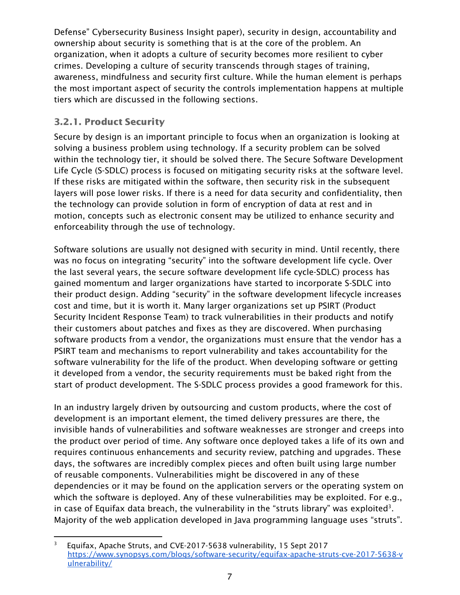Defense" Cybersecurity Business Insight paper), security in design, accountability and ownership about security is something that is at the core of the problem. An organization, when it adopts a culture of security becomes more resilient to cyber crimes. Developing a culture of security transcends through stages of training, awareness, mindfulness and security first culture. While the human element is perhaps the most important aspect of security the controls implementation happens at multiple tiers which are discussed in the following sections.

### <span id="page-7-0"></span>3.2.1. Product Security

Secure by design is an important principle to focus when an organization is looking at solving a business problem using technology. If a security problem can be solved within the technology tier, it should be solved there. The Secure Software Development Life Cycle (S-SDLC) process is focused on mitigating security risks at the software level. If these risks are mitigated within the software, then security risk in the subsequent layers will pose lower risks. If there is a need for data security and confidentiality, then the technology can provide solution in form of encryption of data at rest and in motion, concepts such as electronic consent may be utilized to enhance security and enforceability through the use of technology.

Software solutions are usually not designed with security in mind. Until recently, there was no focus on integrating "security" into the software development life cycle. Over the last several years, the secure software development life cycle-SDLC) process has gained momentum and larger organizations have started to incorporate S-SDLC into their product design. Adding "security" in the software development lifecycle increases cost and time, but it is worth it. Many larger organizations set up PSIRT (Product Security Incident Response Team) to track vulnerabilities in their products and notify their customers about patches and fixes as they are discovered. When purchasing software products from a vendor, the organizations must ensure that the vendor has a PSIRT team and mechanisms to report vulnerability and takes accountability for the software vulnerability for the life of the product. When developing software or getting it developed from a vendor, the security requirements must be baked right from the start of product development. The S-SDLC process provides a good framework for this.

In an industry largely driven by outsourcing and custom products, where the cost of development is an important element, the timed delivery pressures are there, the invisible hands of vulnerabilities and software weaknesses are stronger and creeps into the product over period of time. Any software once deployed takes a life of its own and requires continuous enhancements and security review, patching and upgrades. These days, the softwares are incredibly complex pieces and often built using large number of reusable components. Vulnerabilities might be discovered in any of these dependencies or it may be found on the application servers or the operating system on which the software is deployed. Any of these vulnerabilities may be exploited. For e.g., in case of Equifax data breach, the vulnerability in the "struts library" was exploited<sup>3</sup>. Majority of the web application developed in Java programming language uses "struts".

<sup>&</sup>lt;sup>3</sup> Equifax, Apache Struts, and CVE-2017-5638 vulnerability, 15 Sept 2017 [https://www.synopsys.com/blogs/software-security/equifax-apache-struts-cve-2017-5638-v](https://www.synopsys.com/blogs/software-security/equifax-apache-struts-cve-2017-5638-vulnerability/) [ulnerability/](https://www.synopsys.com/blogs/software-security/equifax-apache-struts-cve-2017-5638-vulnerability/)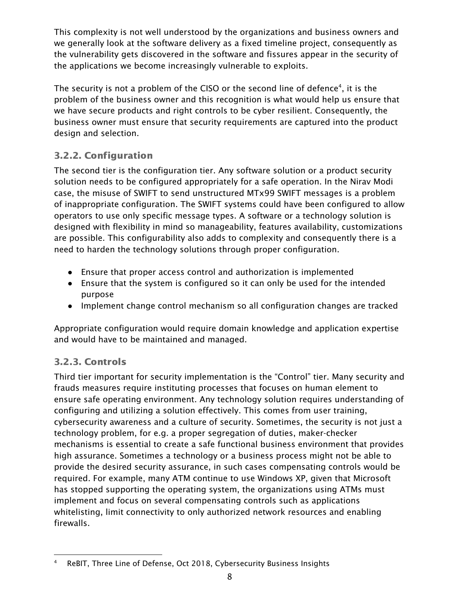This complexity is not well understood by the organizations and business owners and we generally look at the software delivery as a fixed timeline project, consequently as the vulnerability gets discovered in the software and fissures appear in the security of the applications we become increasingly vulnerable to exploits.

The security is not a problem of the CISO or the second line of defence<sup>4</sup>, it is the problem of the business owner and this recognition is what would help us ensure that we have secure products and right controls to be cyber resilient. Consequently, the business owner must ensure that security requirements are captured into the product design and selection.

### <span id="page-8-0"></span>3.2.2. Configuration

The second tier is the configuration tier. Any software solution or a product security solution needs to be configured appropriately for a safe operation. In the Nirav Modi case, the misuse of SWIFT to send unstructured MTx99 SWIFT messages is a problem of inappropriate configuration. The SWIFT systems could have been configured to allow operators to use only specific message types. A software or a technology solution is designed with flexibility in mind so manageability, features availability, customizations are possible. This configurability also adds to complexity and consequently there is a need to harden the technology solutions through proper configuration.

- Ensure that proper access control and authorization is implemented
- Ensure that the system is configured so it can only be used for the intended purpose
- Implement change control mechanism so all configuration changes are tracked

Appropriate configuration would require domain knowledge and application expertise and would have to be maintained and managed.

### <span id="page-8-1"></span>3.2.3. Controls

Third tier important for security implementation is the "Control" tier. Many security and frauds measures require instituting processes that focuses on human element to ensure safe operating environment. Any technology solution requires understanding of configuring and utilizing a solution effectively. This comes from user training, cybersecurity awareness and a culture of security. Sometimes, the security is not just a technology problem, for e.g. a proper segregation of duties, maker-checker mechanisms is essential to create a safe functional business environment that provides high assurance. Sometimes a technology or a business process might not be able to provide the desired security assurance, in such cases compensating controls would be required. For example, many ATM continue to use Windows XP, given that Microsoft has stopped supporting the operating system, the organizations using ATMs must implement and focus on several compensating controls such as applications whitelisting, limit connectivity to only authorized network resources and enabling firewalls.

<sup>4</sup> ReBIT, Three Line of Defense, Oct 2018, Cybersecurity Business Insights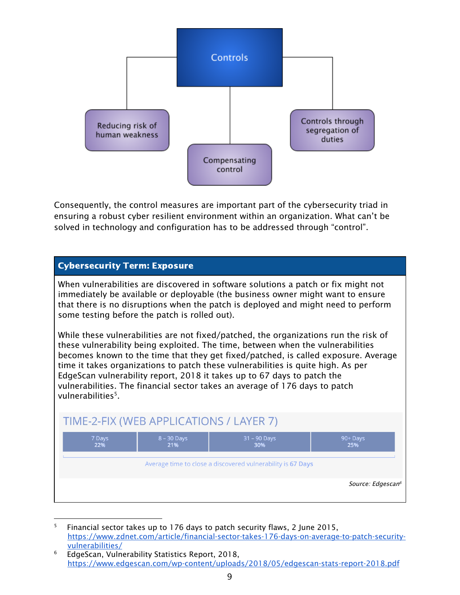

Consequently, the control measures are important part of the cybersecurity triad in ensuring a robust cyber resilient environment within an organization. What can't be solved in technology and configuration has to be addressed through "control".



<sup>5</sup> Financial sector takes up to 176 days to patch security flaws, 2 June 2015, [https://www.zdnet.com/article/financial-sector-takes-176-days-on-average-to-patch-security](https://www.zdnet.com/article/financial-sector-takes-176-days-on-average-to-patch-security-vulnerabilities/)[vulnerabilities/](https://www.zdnet.com/article/financial-sector-takes-176-days-on-average-to-patch-security-vulnerabilities/)

<sup>6</sup> EdgeScan, Vulnerability Statistics Report, 2018, <https://www.edgescan.com/wp-content/uploads/2018/05/edgescan-stats-report-2018.pdf>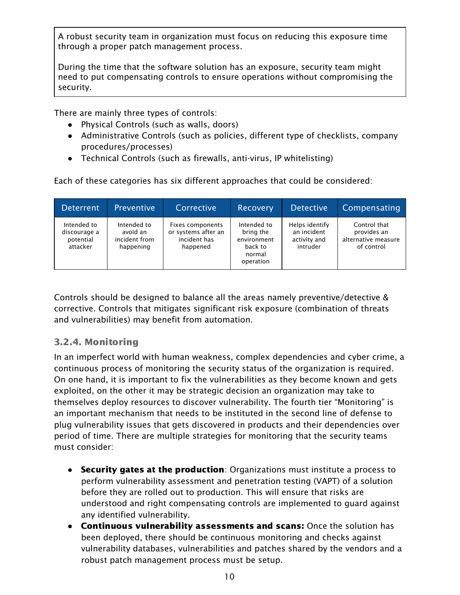A robust security team in organization must focus on reducing this exposure time through a proper patch management process.

During the time that the software solution has an exposure, security team might need to put compensating controls to ensure operations without compromising the security.

There are mainly three types of controls:

- Physical Controls (such as walls, doors)
- Administrative Controls (such as policies, different type of checklists, company procedures/processes)
- Technical Controls (such as firewalls, anti-virus, IP whitelisting)

Each of these categories has six different approaches that could be considered:

| <b>Deterrent</b>                                     | Preventive                                            | Corrective                                                          | <b>Recovery</b>                                                           | <b>Detective</b>                                          | Compensating                                                     |
|------------------------------------------------------|-------------------------------------------------------|---------------------------------------------------------------------|---------------------------------------------------------------------------|-----------------------------------------------------------|------------------------------------------------------------------|
| Intended to<br>discourage a<br>potential<br>attacker | Intended to<br>avoid an<br>incident from<br>happening | Fixes components<br>or systems after an<br>incident has<br>happened | Intended to<br>bring the<br>environment<br>back to<br>normal<br>operation | Helps identify<br>an incident<br>activity and<br>intruder | Control that<br>provides an<br>alternative measure<br>of control |

Controls should be designed to balance all the areas namely preventive/detective & corrective. Controls that mitigates significant risk exposure (combination of threats and vulnerabilities) may benefit from automation.

### <span id="page-10-0"></span>3.2.4. Monitoring

In an imperfect world with human weakness, complex dependencies and cyber crime, a continuous process of monitoring the security status of the organization is required. On one hand, it is important to fix the vulnerabilities as they become known and gets exploited, on the other it may be strategic decision an organization may take to themselves deploy resources to discover vulnerability. The fourth tier "Monitoring" is an important mechanism that needs to be instituted in the second line of defense to plug vulnerability issues that gets discovered in products and their dependencies over period of time. There are multiple strategies for monitoring that the security teams must consider:

- Security gates at the production: Organizations must institute a process to perform vulnerability assessment and penetration testing (VAPT) of a solution before they are rolled out to production. This will ensure that risks are understood and right compensating controls are implemented to guard against any identified vulnerability.
- **●** Continuous vulnerability assessments and scans: Once the solution has been deployed, there should be continuous monitoring and checks against vulnerability databases, vulnerabilities and patches shared by the vendors and a robust patch management process must be setup.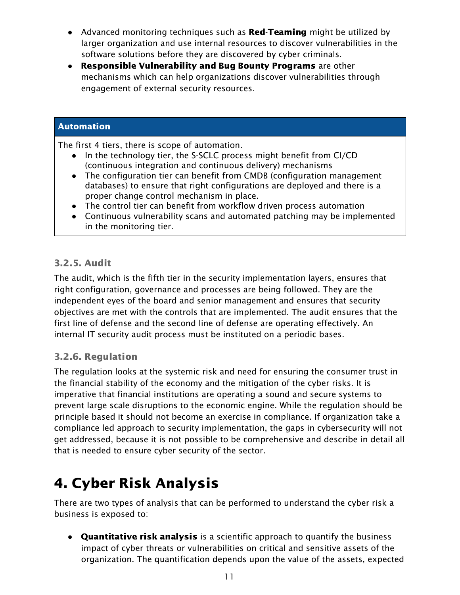- Advanced monitoring techniques such as Red-Teaming might be utilized by larger organization and use internal resources to discover vulnerabilities in the software solutions before they are discovered by cyber criminals.
- Responsible Vulnerability and Bug Bounty Programs are other mechanisms which can help organizations discover vulnerabilities through engagement of external security resources.

#### Automation

The first 4 tiers, there is scope of automation.

- In the technology tier, the S-SCLC process might benefit from CI/CD (continuous integration and continuous delivery) mechanisms
- The configuration tier can benefit from CMDB (configuration management databases) to ensure that right configurations are deployed and there is a proper change control mechanism in place.
- The control tier can benefit from workflow driven process automation
- Continuous vulnerability scans and automated patching may be implemented in the monitoring tier.

#### <span id="page-11-0"></span>3.2.5. Audit

The audit, which is the fifth tier in the security implementation layers, ensures that right configuration, governance and processes are being followed. They are the independent eyes of the board and senior management and ensures that security objectives are met with the controls that are implemented. The audit ensures that the first line of defense and the second line of defense are operating effectively. An internal IT security audit process must be instituted on a periodic bases.

#### <span id="page-11-1"></span>3.2.6. Regulation

The regulation looks at the systemic risk and need for ensuring the consumer trust in the financial stability of the economy and the mitigation of the cyber risks. It is imperative that financial institutions are operating a sound and secure systems to prevent large scale disruptions to the economic engine. While the regulation should be principle based it should not become an exercise in compliance. If organization take a compliance led approach to security implementation, the gaps in cybersecurity will not get addressed, because it is not possible to be comprehensive and describe in detail all that is needed to ensure cyber security of the sector.

# <span id="page-11-2"></span>4. Cyber Risk Analysis

There are two types of analysis that can be performed to understand the cyber risk a business is exposed to:

**• Quantitative risk analysis** is a scientific approach to quantify the business impact of cyber threats or vulnerabilities on critical and sensitive assets of the organization. The quantification depends upon the value of the assets, expected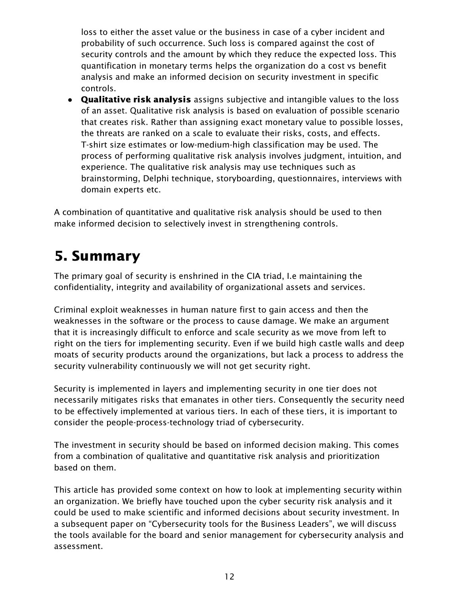loss to either the asset value or the business in case of a cyber incident and probability of such occurrence. Such loss is compared against the cost of security controls and the amount by which they reduce the expected loss. This quantification in monetary terms helps the organization do a cost vs benefit analysis and make an informed decision on security investment in specific controls.

• Qualitative risk analysis assigns subjective and intangible values to the loss of an asset. Qualitative risk analysis is based on evaluation of possible scenario that creates risk. Rather than assigning exact monetary value to possible losses, the threats are ranked on a scale to evaluate their risks, costs, and effects. T-shirt size estimates or low-medium-high classification may be used. The process of performing qualitative risk analysis involves judgment, intuition, and experience. The qualitative risk analysis may use techniques such as brainstorming, Delphi technique, storyboarding, questionnaires, interviews with domain experts etc.

A combination of quantitative and qualitative risk analysis should be used to then make informed decision to selectively invest in strengthening controls.

# <span id="page-12-0"></span>5. Summary

The primary goal of security is enshrined in the CIA triad, I.e maintaining the confidentiality, integrity and availability of organizational assets and services.

Criminal exploit weaknesses in human nature first to gain access and then the weaknesses in the software or the process to cause damage. We make an argument that it is increasingly difficult to enforce and scale security as we move from left to right on the tiers for implementing security. Even if we build high castle walls and deep moats of security products around the organizations, but lack a process to address the security vulnerability continuously we will not get security right.

Security is implemented in layers and implementing security in one tier does not necessarily mitigates risks that emanates in other tiers. Consequently the security need to be effectively implemented at various tiers. In each of these tiers, it is important to consider the people-process-technology triad of cybersecurity.

The investment in security should be based on informed decision making. This comes from a combination of qualitative and quantitative risk analysis and prioritization based on them.

This article has provided some context on how to look at implementing security within an organization. We briefly have touched upon the cyber security risk analysis and it could be used to make scientific and informed decisions about security investment. In a subsequent paper on "Cybersecurity tools for the Business Leaders", we will discuss the tools available for the board and senior management for cybersecurity analysis and assessment.